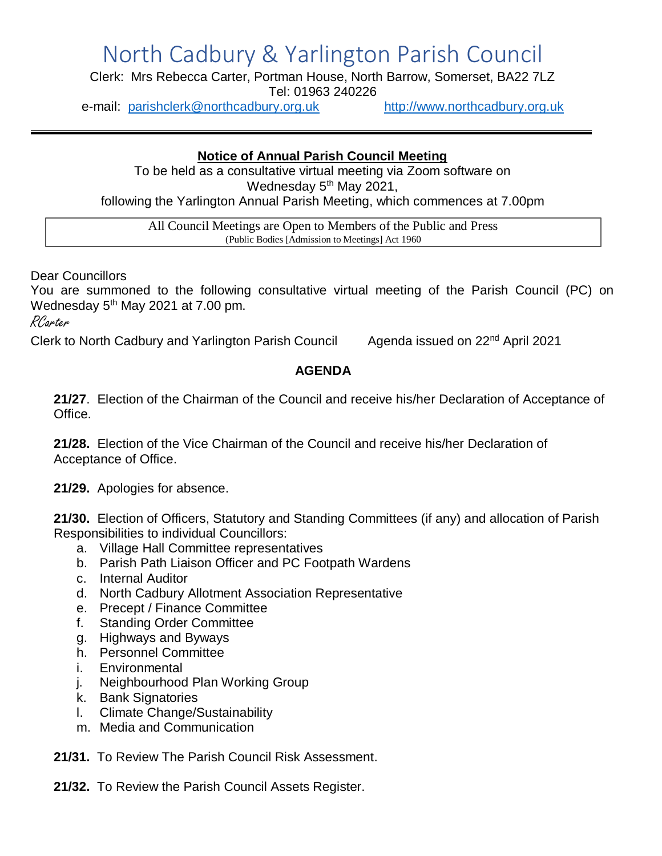## North Cadbury & Yarlington Parish Council

Clerk: Mrs Rebecca Carter, Portman House, North Barrow, Somerset, BA22 7LZ Tel: 01963 240226

e-mail: [parishclerk@northcadbury.org.uk](mailto:parishclerk@northcadbury.org.uk) [http://www.northcadbury.org.uk](http://www.northcadbury.org.uk/)

## **Notice of Annual Parish Council Meeting**

To be held as a consultative virtual meeting via Zoom software on Wednesday 5<sup>th</sup> May 2021, following the Yarlington Annual Parish Meeting, which commences at 7.00pm

All Council Meetings are Open to Members of the Public and Press (Public Bodies [Admission to Meetings] Act 1960

Dear Councillors

You are summoned to the following consultative virtual meeting of the Parish Council (PC) on Wednesday  $5<sup>th</sup>$  May 2021 at 7.00 pm.

RCarter

Clerk to North Cadbury and Yarlington Parish Council Agenda issued on 22<sup>nd</sup> April 2021

## **AGENDA**

**21/27**. Election of the Chairman of the Council and receive his/her Declaration of Acceptance of Office.

**21/28.** Election of the Vice Chairman of the Council and receive his/her Declaration of Acceptance of Office.

**21/29.** Apologies for absence.

**21/30.** Election of Officers, Statutory and Standing Committees (if any) and allocation of Parish Responsibilities to individual Councillors:

- a. Village Hall Committee representatives
- b. Parish Path Liaison Officer and PC Footpath Wardens
- c. Internal Auditor
- d. North Cadbury Allotment Association Representative
- e. Precept / Finance Committee
- f. Standing Order Committee
- g. Highways and Byways
- h. Personnel Committee
- i. Environmental
- j. Neighbourhood Plan Working Group
- k. Bank Signatories
- l. Climate Change/Sustainability
- m. Media and Communication

**21/31.** To Review The Parish Council Risk Assessment.

**21/32.** To Review the Parish Council Assets Register.